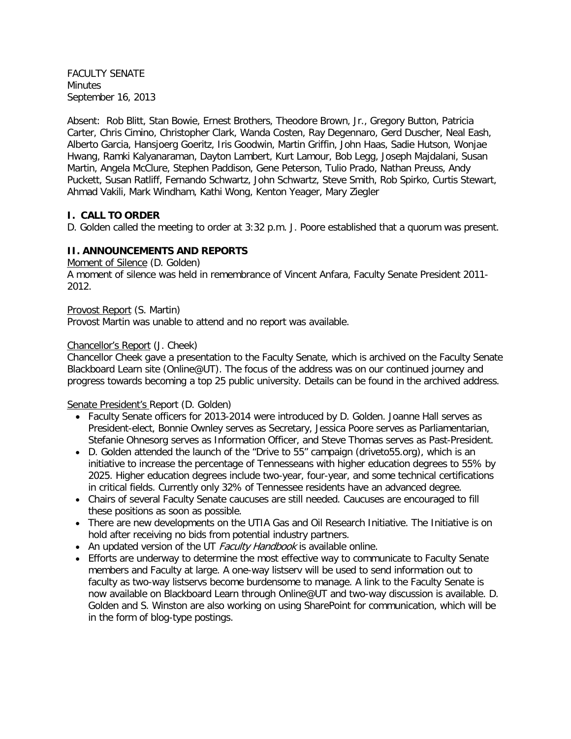FACULTY SENATE **Minutes** September 16, 2013

Absent: Rob Blitt, Stan Bowie, Ernest Brothers, Theodore Brown, Jr., Gregory Button, Patricia Carter, Chris Cimino, Christopher Clark, Wanda Costen, Ray Degennaro, Gerd Duscher, Neal Eash, Alberto Garcia, Hansjoerg Goeritz, Iris Goodwin, Martin Griffin, John Haas, Sadie Hutson, Wonjae Hwang, Ramki Kalyanaraman, Dayton Lambert, Kurt Lamour, Bob Legg, Joseph Majdalani, Susan Martin, Angela McClure, Stephen Paddison, Gene Peterson, Tulio Prado, Nathan Preuss, Andy Puckett, Susan Ratliff, Fernando Schwartz, John Schwartz, Steve Smith, Rob Spirko, Curtis Stewart, Ahmad Vakili, Mark Windham, Kathi Wong, Kenton Yeager, Mary Ziegler

#### **I. CALL TO ORDER**

D. Golden called the meeting to order at 3:32 p.m. J. Poore established that a quorum was present.

#### **II. ANNOUNCEMENTS AND REPORTS**

Moment of Silence (D. Golden)

A moment of silence was held in remembrance of Vincent Anfara, Faculty Senate President 2011- 2012.

Provost Report (S. Martin)

Provost Martin was unable to attend and no report was available.

#### Chancellor's Report (J. Cheek)

Chancellor Cheek gave a presentation to the Faculty Senate, which is archived on the Faculty Senate Blackboard Learn site (Online@UT). The focus of the address was on our continued journey and progress towards becoming a top 25 public university. Details can be found in the archived address.

Senate President's Report (D. Golden)

- Faculty Senate officers for 2013-2014 were introduced by D. Golden. Joanne Hall serves as President-elect, Bonnie Ownley serves as Secretary, Jessica Poore serves as Parliamentarian, Stefanie Ohnesorg serves as Information Officer, and Steve Thomas serves as Past-President.
- D. Golden attended the launch of the "Drive to 55" campaign (driveto55.org), which is an initiative to increase the percentage of Tennesseans with higher education degrees to 55% by 2025. Higher education degrees include two-year, four-year, and some technical certifications in critical fields. Currently only 32% of Tennessee residents have an advanced degree.
- Chairs of several Faculty Senate caucuses are still needed. Caucuses are encouraged to fill these positions as soon as possible.
- There are new developments on the UTIA Gas and Oil Research Initiative. The Initiative is on hold after receiving no bids from potential industry partners.
- An updated version of the UT Faculty Handbook is available online.
- Efforts are underway to determine the most effective way to communicate to Faculty Senate members and Faculty at large. A one-way listserv will be used to send information out to faculty as two-way listservs become burdensome to manage. A link to the Faculty Senate is now available on Blackboard Learn through Online@UT and two-way discussion is available. D. Golden and S. Winston are also working on using SharePoint for communication, which will be in the form of blog-type postings.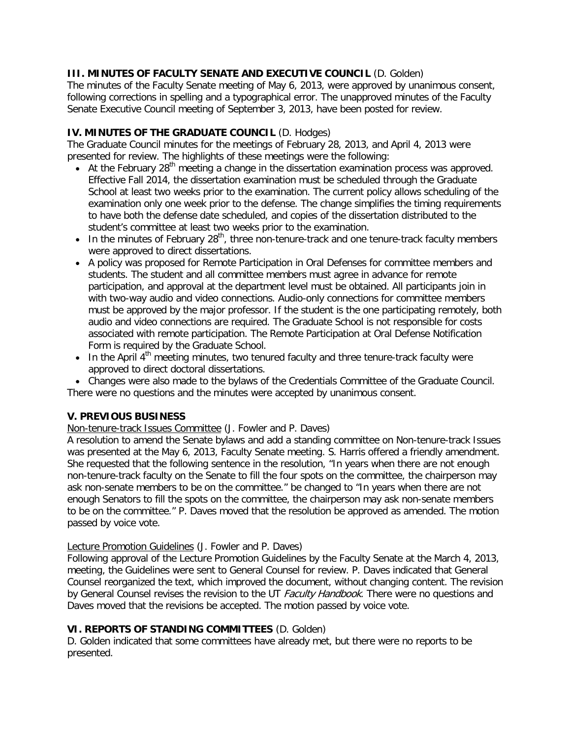## **III. MINUTES OF FACULTY SENATE AND EXECUTIVE COUNCIL** (D. Golden)

The minutes of the Faculty Senate meeting of May 6, 2013, were approved by unanimous consent, following corrections in spelling and a typographical error. The unapproved minutes of the Faculty Senate Executive Council meeting of September 3, 2013, have been posted for review.

## **IV. MINUTES OF THE GRADUATE COUNCIL** (D. Hodges)

The Graduate Council minutes for the meetings of February 28, 2013, and April 4, 2013 were presented for review. The highlights of these meetings were the following:

- At the February 28<sup>th</sup> meeting a change in the dissertation examination process was approved. Effective Fall 2014, the dissertation examination must be scheduled through the Graduate School at least two weeks prior to the examination. The current policy allows scheduling of the examination only one week prior to the defense. The change simplifies the timing requirements to have both the defense date scheduled, and copies of the dissertation distributed to the student's committee at least two weeks prior to the examination.
- In the minutes of February  $28<sup>th</sup>$ , three non-tenure-track and one tenure-track faculty members were approved to direct dissertations.
- A policy was proposed for Remote Participation in Oral Defenses for committee members and students. The student and all committee members must agree in advance for remote participation, and approval at the department level must be obtained. All participants join in with two-way audio and video connections. Audio-only connections for committee members must be approved by the major professor. If the student is the one participating remotely, both audio and video connections are required. The Graduate School is not responsible for costs associated with remote participation. The Remote Participation at Oral Defense Notification Form is required by the Graduate School.
- $\bullet$  In the April 4<sup>th</sup> meeting minutes, two tenured faculty and three tenure-track faculty were approved to direct doctoral dissertations.

• Changes were also made to the bylaws of the Credentials Committee of the Graduate Council. There were no questions and the minutes were accepted by unanimous consent.

## **V. PREVIOUS BUSINESS**

## Non-tenure-track Issues Committee (J. Fowler and P. Daves)

A resolution to amend the Senate bylaws and add a standing committee on Non-tenure-track Issues was presented at the May 6, 2013, Faculty Senate meeting. S. Harris offered a friendly amendment. She requested that the following sentence in the resolution, "In years when there are not enough non-tenure-track faculty on the Senate to fill the four spots on the committee, the chairperson may ask non-senate members to be on the committee." be changed to "In years when there are not enough Senators to fill the spots on the committee, the chairperson may ask non-senate members to be on the committee." P. Daves moved that the resolution be approved as amended. The motion passed by voice vote.

#### Lecture Promotion Guidelines (J. Fowler and P. Daves)

Following approval of the Lecture Promotion Guidelines by the Faculty Senate at the March 4, 2013, meeting, the Guidelines were sent to General Counsel for review. P. Daves indicated that General Counsel reorganized the text, which improved the document, without changing content. The revision by General Counsel revises the revision to the UT Faculty Handbook. There were no questions and Daves moved that the revisions be accepted. The motion passed by voice vote.

## **VI. REPORTS OF STANDING COMMITTEES** (D. Golden)

D. Golden indicated that some committees have already met, but there were no reports to be presented.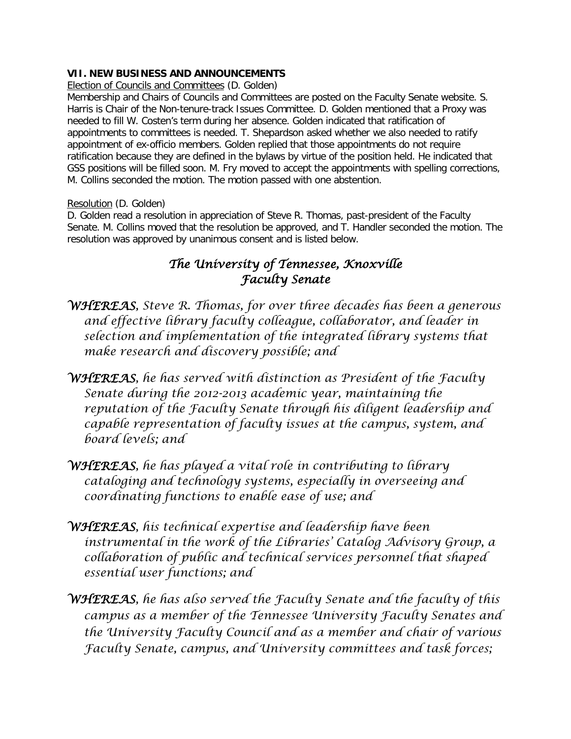# **VII. NEW BUSINESS AND ANNOUNCEMENTS**

Election of Councils and Committees (D. Golden)

Membership and Chairs of Councils and Committees are posted on the Faculty Senate website. S. Harris is Chair of the Non-tenure-track Issues Committee. D. Golden mentioned that a Proxy was needed to fill W. Costen's term during her absence. Golden indicated that ratification of appointments to committees is needed. T. Shepardson asked whether we also needed to ratify appointment of ex-officio members. Golden replied that those appointments do not require ratification because they are defined in the bylaws by virtue of the position held. He indicated that GSS positions will be filled soon. M. Fry moved to accept the appointments with spelling corrections, M. Collins seconded the motion. The motion passed with one abstention.

## Resolution (D. Golden)

D. Golden read a resolution in appreciation of Steve R. Thomas, past-president of the Faculty Senate. M. Collins moved that the resolution be approved, and T. Handler seconded the motion. The resolution was approved by unanimous consent and is listed below.

# *The University of Tennessee, Knoxville Faculty Senate*

- *WHEREAS, Steve R. Thomas, for over three decades has been a generous and effective library faculty colleague, collaborator, and leader in selection and implementation of the integrated library systems that make research and discovery possible; and*
- *WHEREAS, he has served with distinction as President of the Faculty Senate during the 2012-2013 academic year, maintaining the reputation of the Faculty Senate through his diligent leadership and capable representation of faculty issues at the campus, system, and board levels; and*
- *WHEREAS, he has played a vital role in contributing to library cataloging and technology systems, especially in overseeing and coordinating functions to enable ease of use; and*
- *WHEREAS, his technical expertise and leadership have been instrumental in the work of the Libraries' Catalog Advisory Group, a collaboration of public and technical services personnel that shaped essential user functions; and*
- *WHEREAS, he has also served the Faculty Senate and the faculty of this campus as a member of the Tennessee University Faculty Senates and the University Faculty Council and as a member and chair of various Faculty Senate, campus, and University committees and task forces;*